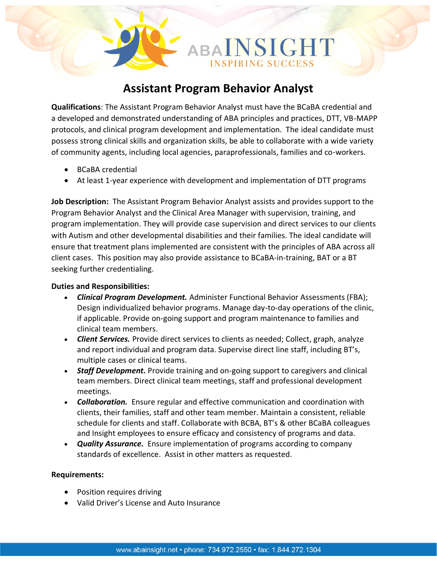# **Assistant Program Behavior Analyst**

SIGHT

**Qualifications**: The Assistant Program Behavior Analyst must have the BCaBA credential and a developed and demonstrated understanding of ABA principles and practices, DTT, VB-MAPP protocols, and clinical program development and implementation. The ideal candidate must possess strong clinical skills and organization skills, be able to collaborate with a wide variety of community agents, including local agencies, paraprofessionals, families and co-workers.

- BCaBA credential
- At least 1-year experience with development and implementation of DTT programs

**Job Description:** The Assistant Program Behavior Analyst assists and provides support to the Program Behavior Analyst and the Clinical Area Manager with supervision, training, and program implementation. They will provide case supervision and direct services to our clients with Autism and other developmental disabilities and their families. The ideal candidate will ensure that treatment plans implemented are consistent with the principles of ABA across all client cases. This position may also provide assistance to BCaBA-in-training, BAT or a BT seeking further credentialing.

#### **Duties and Responsibilities:**

- *Clinical Program Development.* Administer Functional Behavior Assessments (FBA); Design individualized behavior programs. Manage day-to-day operations of the clinic, if applicable. Provide on-going support and program maintenance to families and clinical team members.
- *Client Services.* Provide direct services to clients as needed; Collect, graph, analyze and report individual and program data. Supervise direct line staff, including BT's, multiple cases or clinical teams.
- *Staff Development.* Provide training and on-going support to caregivers and clinical team members. Direct clinical team meetings, staff and professional development meetings.
- *Collaboration.* Ensure regular and effective communication and coordination with clients, their families, staff and other team member. Maintain a consistent, reliable schedule for clients and staff. Collaborate with BCBA, BT's & other BCaBA colleagues and Insight employees to ensure efficacy and consistency of programs and data.
- *Quality Assurance.* Ensure implementation of programs according to company standards of excellence. Assist in other matters as requested.

## **Requirements:**

- Position requires driving
- Valid Driver's License and Auto Insurance